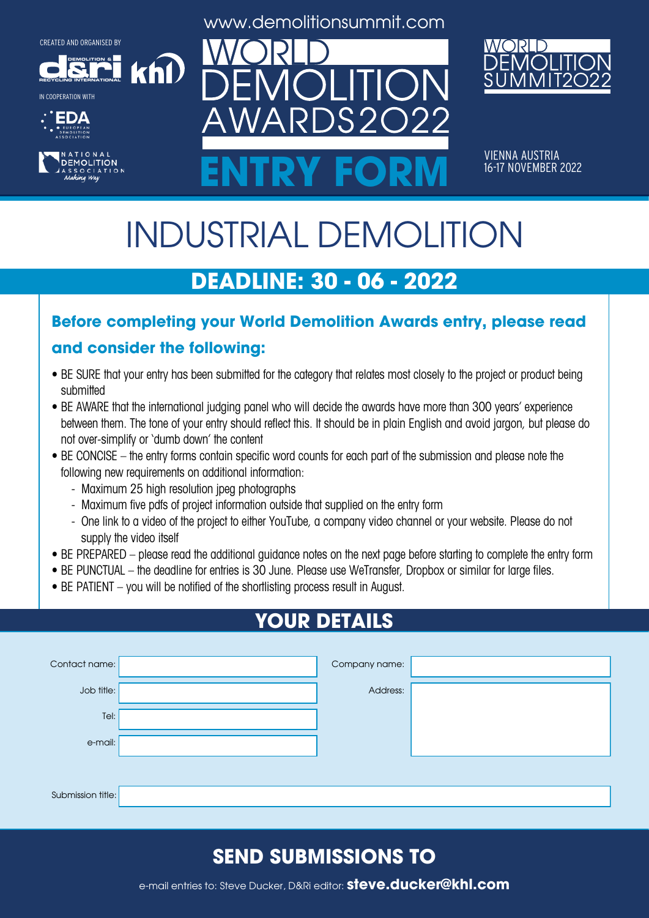**DEMOLITION &**









www.demolitionsummit.com



VIENNA AUSTRIA<br>16-17 NOVEMBER 2022 ENTRY FORM **16-17 NOVEMBER 2022** 

# INDUSTRIAL DEMOLITION

# **DEADLINE: 30 - 06 - 2022**

#### **Before completing your World Demolition Awards entry, please read**

#### **and consider the following:**

khl

- BE SURE that your entry has been submitted for the category that relates most closely to the project or product being submitted
- BE AWARE that the international judging panel who will decide the awards have more than 300 years' experience between them. The tone of your entry should reflect this. It should be in plain English and avoid jargon, but please do not over-simplify or 'dumb down' the content
- BE CONCISE the entry forms contain specific word counts for each part of the submission and please note the following new requirements on additional information:
	- Maximum 25 high resolution jpeg photographs
	- Maximum five pdfs of project information outside that supplied on the entry form
	- One link to a video of the project to either YouTube, a company video channel or your website. Please do not supply the video itself
- BE PREPARED please read the additional guidance notes on the next page before starting to complete the entry form
- BE PUNCTUAL the deadline for entries is 30 June. Please use WeTransfer, Dropbox or similar for large files.
- BE PATIENT you will be notified of the shortlisting process result in August.

# **YOUR DETAILS**

| Contact name:     | Company name: |  |
|-------------------|---------------|--|
| Job title:        | Address:      |  |
| Tel:              |               |  |
| e-mail:           |               |  |
|                   |               |  |
| Submission title: |               |  |

### **SEND SUBMISSIONS TO**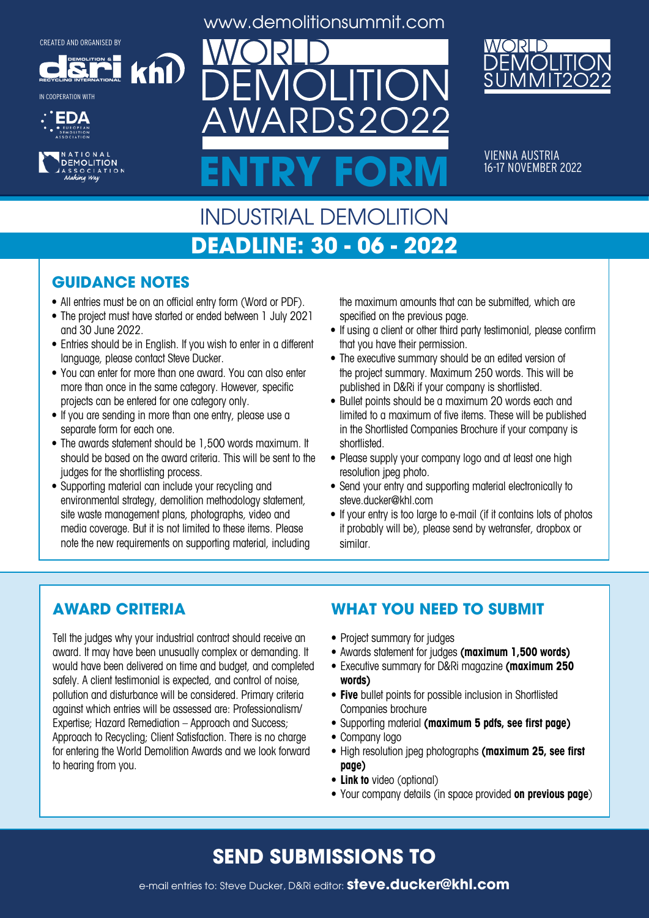**DEMOLITION &**

khl

**RECYCLING INTERNATIONAL** IN COOPERATION WITH





www.demolitionsummit.com



VIENNA AUSTRIA<br>16-17 NOVEMBER 2022 ENTRY FORM **16-17 NOVEMBER 2022** 

# INDUSTRIAL DEMOLITION **DEADLINE: 30 - 06 - 2022**

#### **GUIDANCE NOTES**

- All entries must be on an official entry form (Word or PDF).
- The project must have started or ended between 1 July 2021 and 30 June 2022.
- Entries should be in English. If you wish to enter in a different language, please contact Steve Ducker.
- You can enter for more than one award. You can also enter more than once in the same category. However, specific projects can be entered for one category only.
- If you are sending in more than one entry, please use a separate form for each one.
- The awards statement should be 1,500 words maximum. It should be based on the award criteria. This will be sent to the judges for the shortlisting process.
- Supporting material can include your recycling and environmental strategy, demolition methodology statement, site waste management plans, photographs, video and media coverage. But it is not limited to these items. Please note the new requirements on supporting material, including

the maximum amounts that can be submitted, which are specified on the previous page.

- If using a client or other third party testimonial, please confirm that you have their permission.
- The executive summary should be an edited version of the project summary. Maximum 250 words. This will be published in D&Ri if your company is shortlisted.
- Bullet points should be a maximum 20 words each and limited to a maximum of five items. These will be published in the Shortlisted Companies Brochure if your company is shortlisted.
- Please supply your company logo and at least one high resolution jpeg photo.
- Send your entry and supporting material electronically to steve.ducker@khl.com
- If your entry is too large to e-mail (if it contains lots of photos it probably will be), please send by wetransfer, dropbox or similar.

#### **AWARD CRITERIA**

Tell the judges why your industrial contract should receive an award. It may have been unusually complex or demanding. It would have been delivered on time and budget, and completed safely. A client testimonial is expected, and control of noise, pollution and disturbance will be considered. Primary criteria against which entries will be assessed are: Professionalism/ Expertise; Hazard Remediation – Approach and Success; Approach to Recycling; Client Satisfaction. There is no charge for entering the World Demolition Awards and we look forward to hearing from you.

#### **WHAT YOU NEED TO SUBMIT**

- Project summary for judges
- • Awards statement for judges **(maximum 1,500 words)**
- • Executive summary for D&Ri magazine **(maximum 250 words)**
- **• Five** bullet points for possible inclusion in Shortlisted Companies brochure
- • Supporting material **(maximum 5 pdfs, see first page)**
- Company logo
- • High resolution jpeg photographs **(maximum 25, see first page)**
- **• Link to** video (optional)
- • Your company details (in space provided **on previous page**)

### **SEND SUBMISSIONS TO**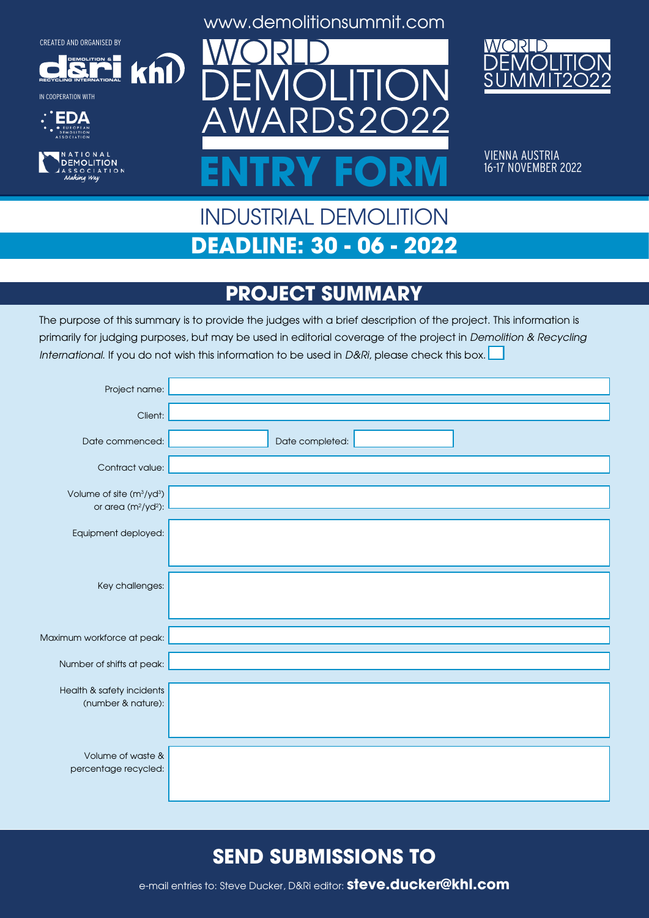**DEMOLITION &**

 $k$ h $\Omega$ 

**RECYCLING INTERNATIONAL**











VIENNA AUSTRIA<br>16-17 NOVEMBER 2022 ENTRY FORM **16-17 NOVEMBER 2022** 

# INDUSTRIAL DEMOLITION **DEADLINE: 30 - 06 - 2022**

# **PROJECT SUMMARY**

The purpose of this summary is to provide the judges with a brief description of the project. This information is primarily for judging purposes, but may be used in editorial coverage of the project in Demolition & Recycling International. If you do not wish this information to be used in D&Ri, please check this box.

| Project name:                                                               |                 |
|-----------------------------------------------------------------------------|-----------------|
| Client:                                                                     |                 |
| Date commenced:                                                             | Date completed: |
| Contract value:                                                             |                 |
| Volume of site (m <sup>3</sup> /yd <sup>3</sup> )<br>or area $(m^2/yd^2)$ : |                 |
| Equipment deployed:                                                         |                 |
|                                                                             |                 |
| Key challenges:                                                             |                 |
|                                                                             |                 |
| Maximum workforce at peak:                                                  |                 |
| Number of shifts at peak:                                                   |                 |
| Health & safety incidents                                                   |                 |
| (number & nature):                                                          |                 |
|                                                                             |                 |
| Volume of waste &<br>percentage recycled:                                   |                 |
|                                                                             |                 |

### **SEND SUBMISSIONS TO**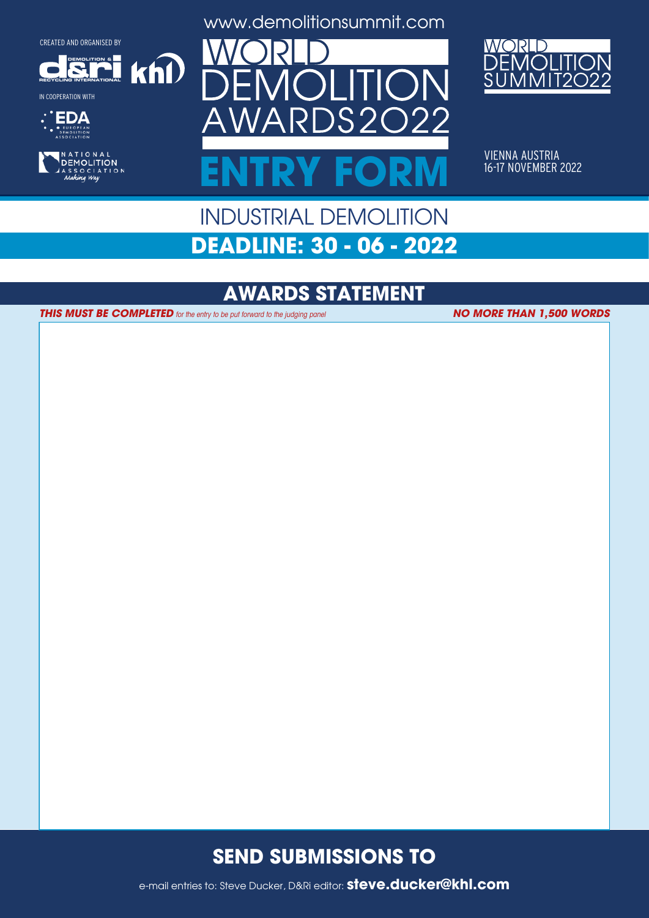**DEMOLITION &**

 $k$ h $\Omega$ 

**RECYCLING INTERNATIONAL**

IN COOPERATION WITH





www.demolitionsummit.com



VIENNA AUSTRIA<br>16-17 NOVEMBER 2022 ENTRY FORM **16-17 NOVEMBER 2022** 

# INDUSTRIAL DEMOLITION **DEADLINE: 30 - 06 - 2022**

#### **AWARDS STATEMENT**

**THIS MUST BE COMPLETED** for the entry to be put forward to the judging panel

**NO MORE THAN 1,500 WORDS**

#### **SEND SUBMISSIONS TO**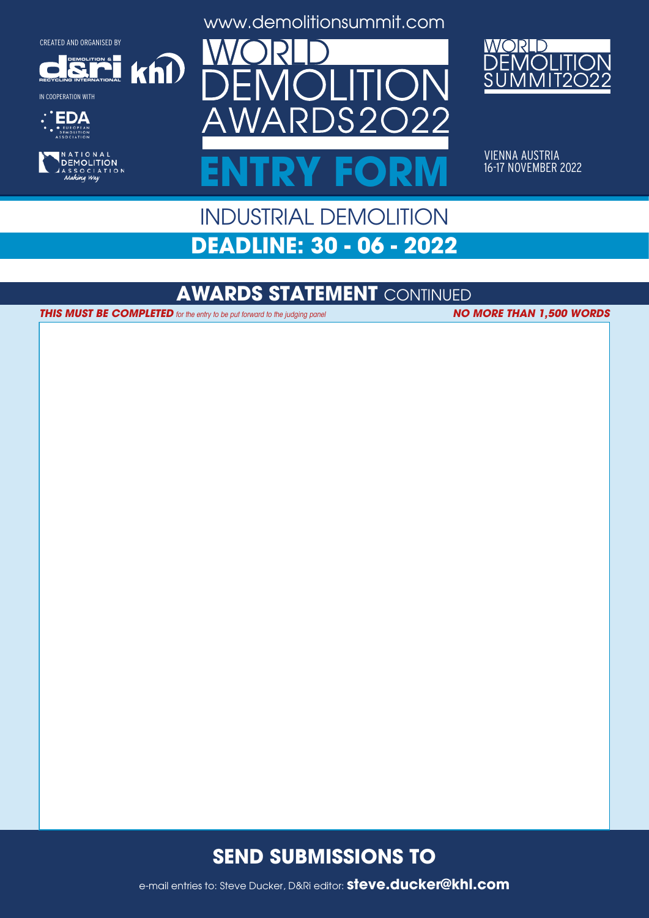**DEMOLITION &**

 $k$ n $\Omega$ 

**RECYCLING INTERNATIONAL**











VIENNA AUSTRIA<br>16-17 NOVEMBER 2022 ENTRY FORM **16-17 NOVEMBER 2022** 

# INDUSTRIAL DEMOLITION **DEADLINE: 30 - 06 - 2022**

#### **AWARDS STATEMENT** CONTINUED

**THIS MUST BE COMPLETED** for the entry to be put forward to the judging panel **NO MORE THAN 1,500 WORDS** 

#### **SEND SUBMISSIONS TO**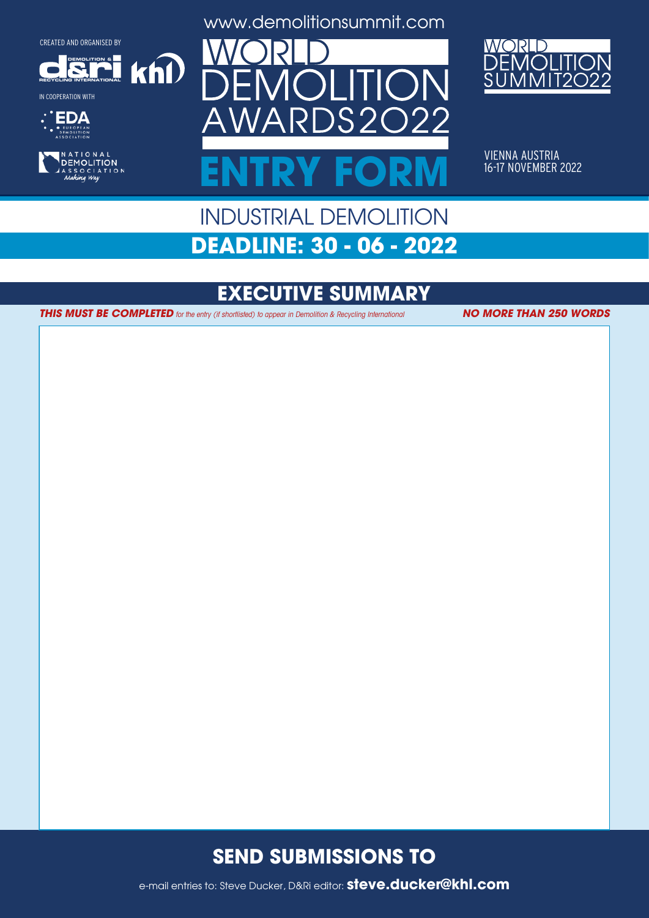**DEMOLITION &**

 $k$ h $\Omega$ 

**RECYCLING INTERNATIONAL**

IN COOPERATION WITH





www.demolitionsummit.com



VIENNA AUSTRIA<br>16-17 NOVEMBER 2022 ENTRY FORM **16-17 NOVEMBER 2022** 

# INDUSTRIAL DEMOLITION **DEADLINE: 30 - 06 - 2022**

# **EXECUTIVE SUMMARY**

**THIS MUST BE COMPLETED** for the entry (if shortlisted) to appear in Demolition & Recycling International **NO MORE THAN 250 WORDS** 

#### **SEND SUBMISSIONS TO**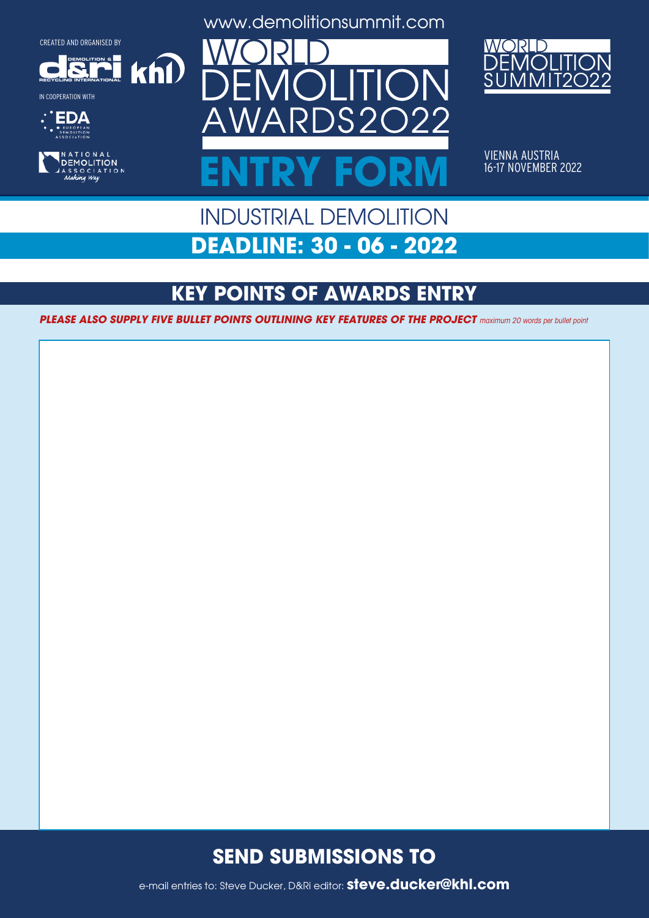**DEMOLITION &**

 $k$ h $\Omega$ 













VIENNA AUSTRIA<br>16-17 NOVEMBER 2022 ENTRY FORM **16-17 NOVEMBER 2022** 

# INDUSTRIAL DEMOLITION **DEADLINE: 30 - 06 - 2022**

### **KEY POINTS OF AWARDS ENTRY**

**PLEASE ALSO SUPPLY FIVE BULLET POINTS OUTLINING KEY FEATURES OF THE PROJECT** maximum 20 words per bullet point

#### **SEND SUBMISSIONS TO**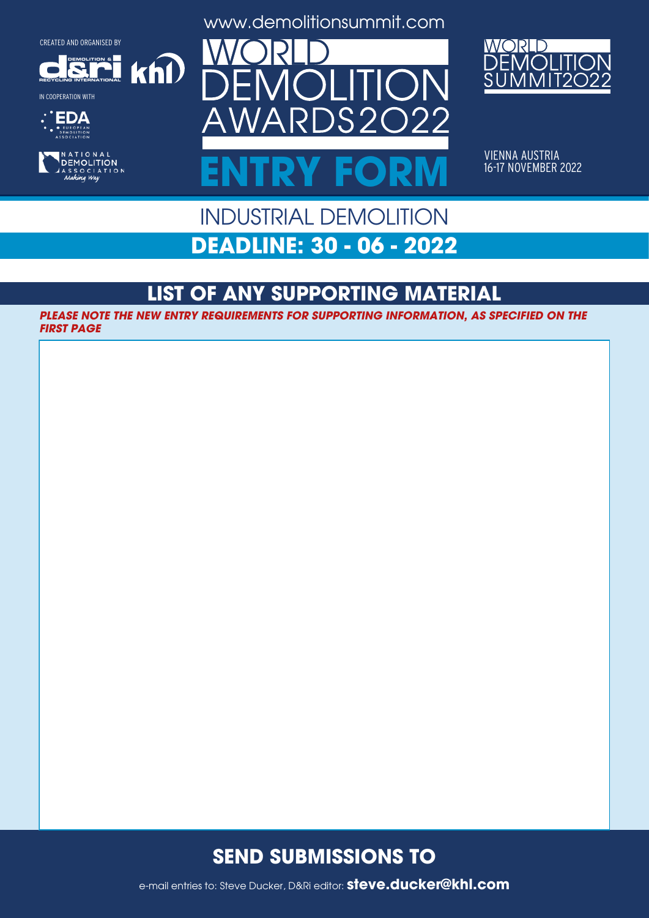**DEMOLITION &**

 $k$ n $\Omega$ 



r











VIENNA AUSTRIA<br>16-17 NOVEMBER 2022 ENTRY FORM **16-17 NOVEMBER 2022** 

## INDUSTRIAL DEMOLITION **DEADLINE: 30 - 06 - 2022**

### **LIST OF ANY SUPPORTING MATERIAL**

**PLEASE NOTE THE NEW ENTRY REQUIREMENTS FOR SUPPORTING INFORMATION, AS SPECIFIED ON THE FIRST PAGE**

#### **SEND SUBMISSIONS TO**